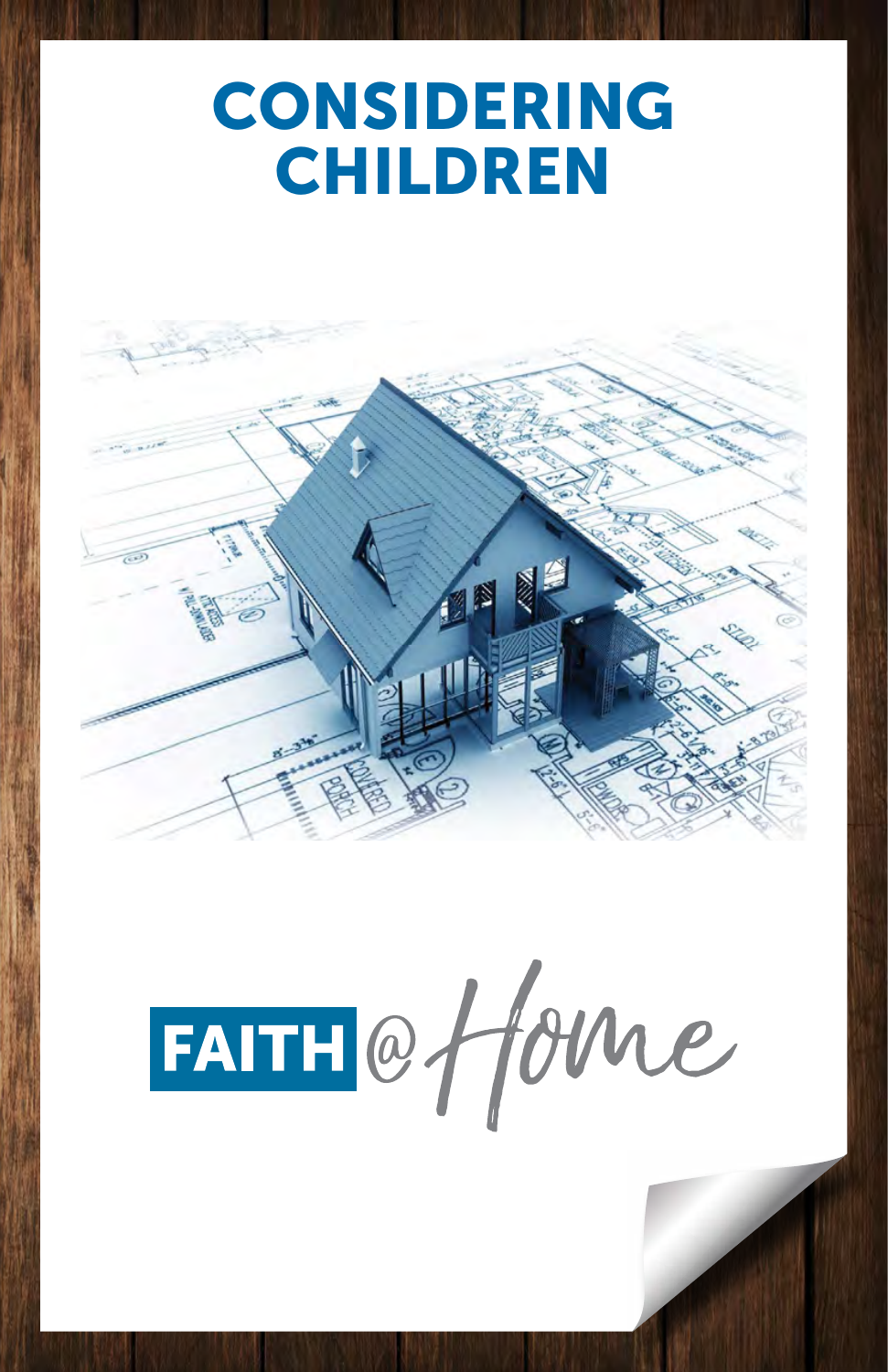# **CONSIDERING CHILDREN**



FAITH@fforme

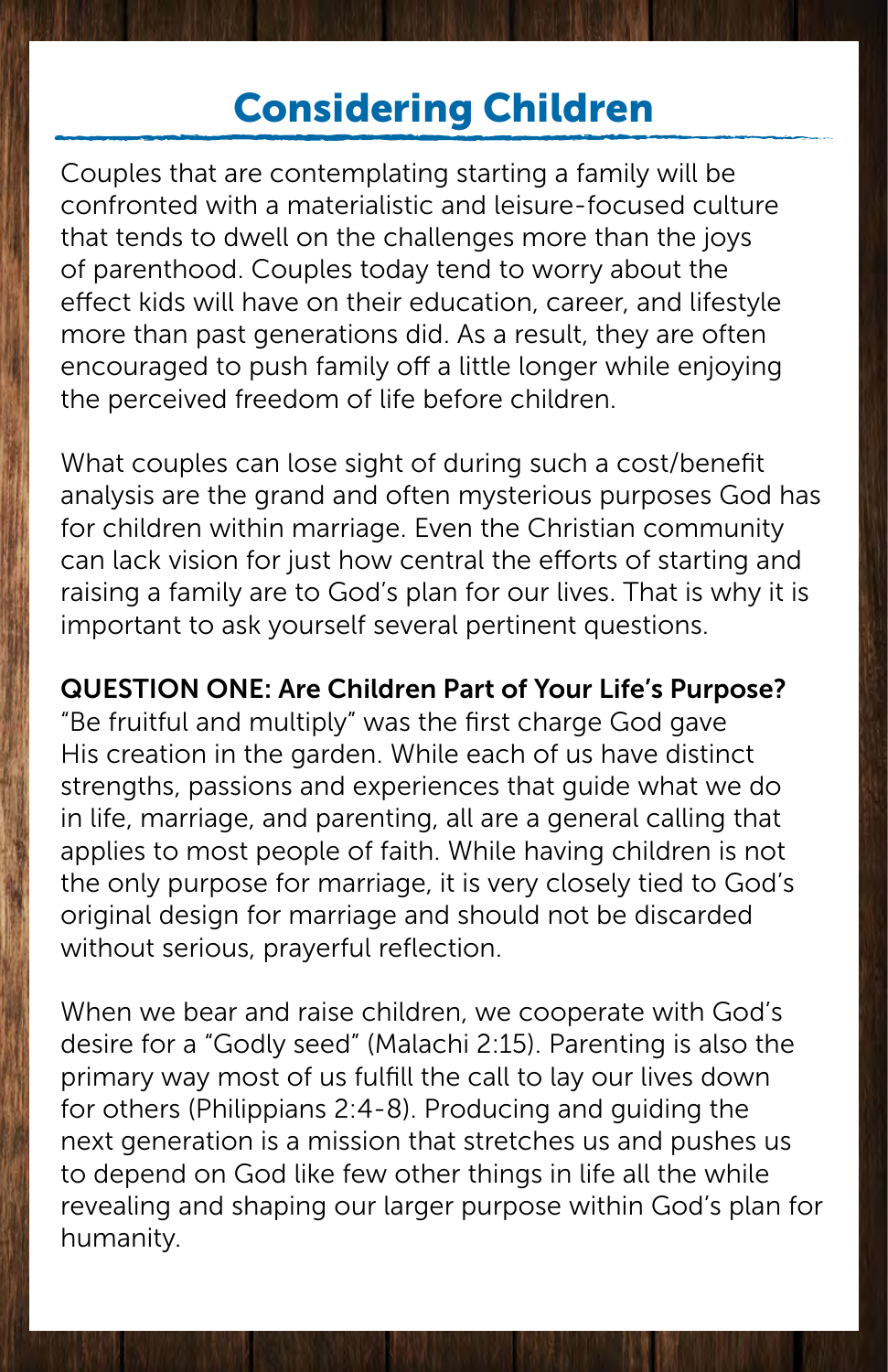## Considering Children

Couples that are contemplating starting a family will be confronted with a materialistic and leisure-focused culture that tends to dwell on the challenges more than the joys of parenthood. Couples today tend to worry about the effect kids will have on their education, career, and lifestyle more than past generations did. As a result, they are often encouraged to push family off a little longer while enjoying the perceived freedom of life before children.

What couples can lose sight of during such a cost/benefit analysis are the grand and often mysterious purposes God has for children within marriage. Even the Christian community can lack vision for just how central the efforts of starting and raising a family are to God's plan for our lives. That is why it is important to ask yourself several pertinent questions.

QUESTION ONE: Are Children Part of Your Life's Purpose? "Be fruitful and multiply" was the first charge God gave His creation in the garden. While each of us have distinct strengths, passions and experiences that guide what we do in life, marriage, and parenting, all are a general calling that applies to most people of faith. While having children is not the only purpose for marriage, it is very closely tied to God's original design for marriage and should not be discarded without serious, prayerful reflection.

When we bear and raise children, we cooperate with God's desire for a "Godly seed" (Malachi 2:15). Parenting is also the primary way most of us fulfill the call to lay our lives down for others (Philippians 2:4-8). Producing and guiding the next generation is a mission that stretches us and pushes us to depend on God like few other things in life all the while revealing and shaping our larger purpose within God's plan for humanity.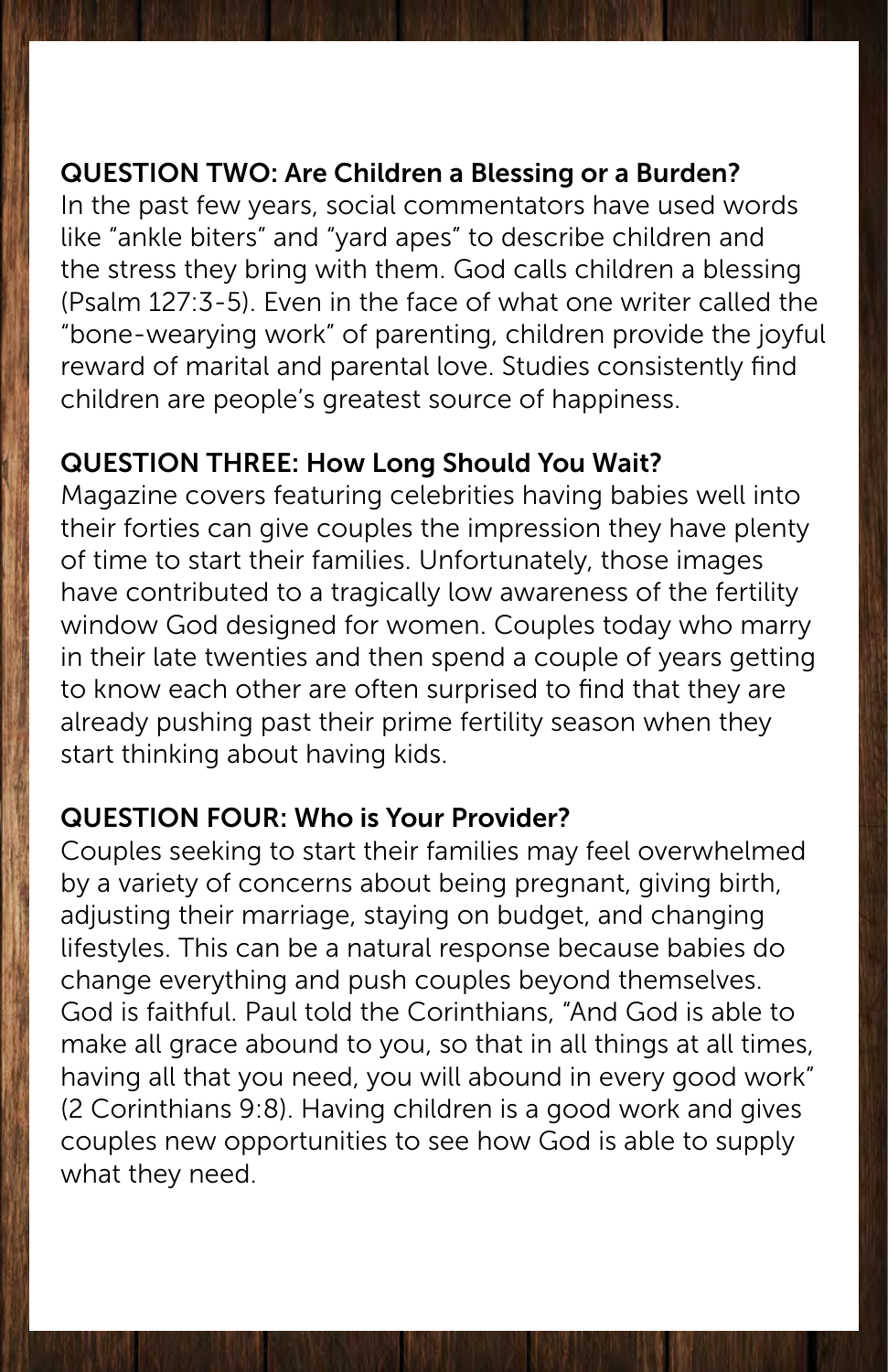#### QUESTION TWO: Are Children a Blessing or a Burden?

In the past few years, social commentators have used words like "ankle biters" and "yard apes" to describe children and the stress they bring with them. God calls children a blessing (Psalm 127:3-5). Even in the face of what one writer called the "bone-wearying work" of parenting, children provide the joyful reward of marital and parental love. Studies consistently find children are people's greatest source of happiness.

#### QUESTION THREE: How Long Should You Wait?

Magazine covers featuring celebrities having babies well into their forties can give couples the impression they have plenty of time to start their families. Unfortunately, those images have contributed to a tragically low awareness of the fertility window God designed for women. Couples today who marry in their late twenties and then spend a couple of years getting to know each other are often surprised to find that they are already pushing past their prime fertility season when they start thinking about having kids.

#### QUESTION FOUR: Who is Your Provider?

Couples seeking to start their families may feel overwhelmed by a variety of concerns about being pregnant, giving birth, adjusting their marriage, staying on budget, and changing lifestyles. This can be a natural response because babies do change everything and push couples beyond themselves. God is faithful. Paul told the Corinthians, "And God is able to make all grace abound to you, so that in all things at all times, having all that you need, you will abound in every good work" (2 Corinthians 9:8). Having children is a good work and gives couples new opportunities to see how God is able to supply what they need.